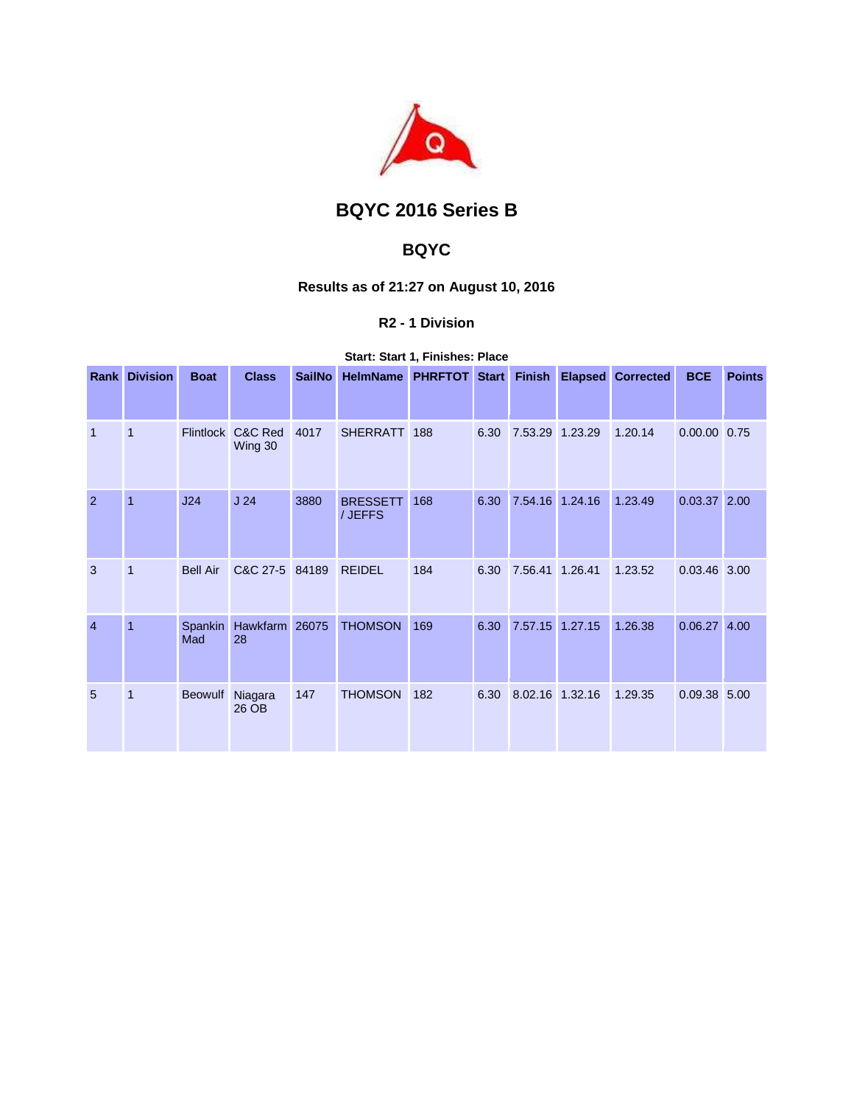

# **BQYC 2016 Series B**

## **BQYC**

## **Results as of 21:27 on August 10, 2016**

### **R2 - 1 Division**

**Start: Start 1, Finishes: Place** 

|                | <b>Rank Division</b> | <b>Boat</b>      | <b>Class</b>       | <b>SailNo</b> | HelmName PHRFTOT Start     |     |      |                 | <b>Finish Elapsed Corrected</b> | <b>BCE</b>     | <b>Points</b> |
|----------------|----------------------|------------------|--------------------|---------------|----------------------------|-----|------|-----------------|---------------------------------|----------------|---------------|
|                |                      |                  |                    |               |                            |     |      |                 |                                 |                |               |
| $\mathbf{1}$   | 1                    | <b>Flintlock</b> | C&C Red<br>Wing 30 | 4017          | <b>SHERRATT</b>            | 188 | 6.30 | 7.53.29 1.23.29 | 1.20.14                         | 0.00.00 0.75   |               |
| $\overline{2}$ | $\overline{1}$       | J24              | J <sub>24</sub>    | 3880          | <b>BRESSETT</b><br>/ JEFFS | 168 | 6.30 | 7.54.16 1.24.16 | 1.23.49                         | $0.03.37$ 2.00 |               |
| 3              | $\overline{1}$       | <b>Bell Air</b>  | C&C 27-5 84189     |               | <b>REIDEL</b>              | 184 | 6.30 | 7.56.41 1.26.41 | 1.23.52                         | 0.03.46 3.00   |               |
| $\overline{4}$ | 1                    | Spankin<br>Mad   | Hawkfarm<br>28     | 26075         | <b>THOMSON</b>             | 169 | 6.30 | 7.57.15 1.27.15 | 1.26.38                         | 0.06.27        | 4.00          |
| 5              | $\mathbf{1}$         | <b>Beowulf</b>   | Niagara<br>26 OB   | 147           | <b>THOMSON</b>             | 182 | 6.30 | 8.02.16 1.32.16 | 1.29.35                         | 0.09.38 5.00   |               |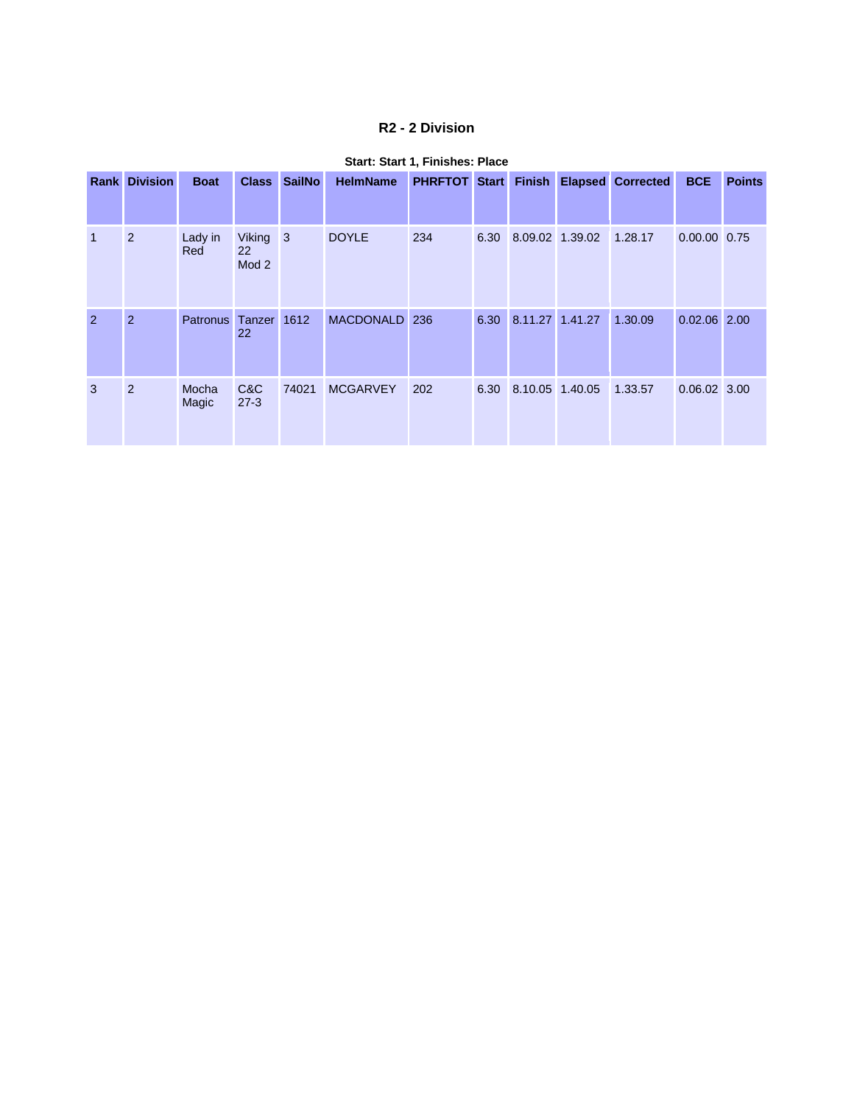### **R2 - 2 Division**

|                | <b>Rank Division</b> | <b>Boat</b>     |                                           | Class SailNo | <b>HelmName</b> |     |      |                 |                      | <b>PHRFTOT Start Finish Elapsed Corrected</b> | <b>BCE</b>     | <b>Points</b> |
|----------------|----------------------|-----------------|-------------------------------------------|--------------|-----------------|-----|------|-----------------|----------------------|-----------------------------------------------|----------------|---------------|
| $\overline{1}$ | 2                    | Lady in<br>Red  | Viking 3<br><b>22</b><br>Mod <sub>2</sub> |              | <b>DOYLE</b>    | 234 |      |                 | 6.30 8.09.02 1.39.02 | 1.28.17                                       | 0.00.00 0.75   |               |
| $\mathcal{P}$  | 2                    | <b>Patronus</b> | Tanzer 1612<br>22                         |              | MACDONALD 236   |     | 6.30 | 8.11.27 1.41.27 |                      | 1.30.09                                       | $0.02.06$ 2.00 |               |
| 3              | 2                    | Mocha<br>Magic  | C&C<br>$27 - 3$                           | 74021        | <b>MCGARVEY</b> | 202 |      |                 | 6.30 8.10.05 1.40.05 | 1.33.57                                       | 0.06.02 3.00   |               |

#### **Start: Start 1, Finishes: Place**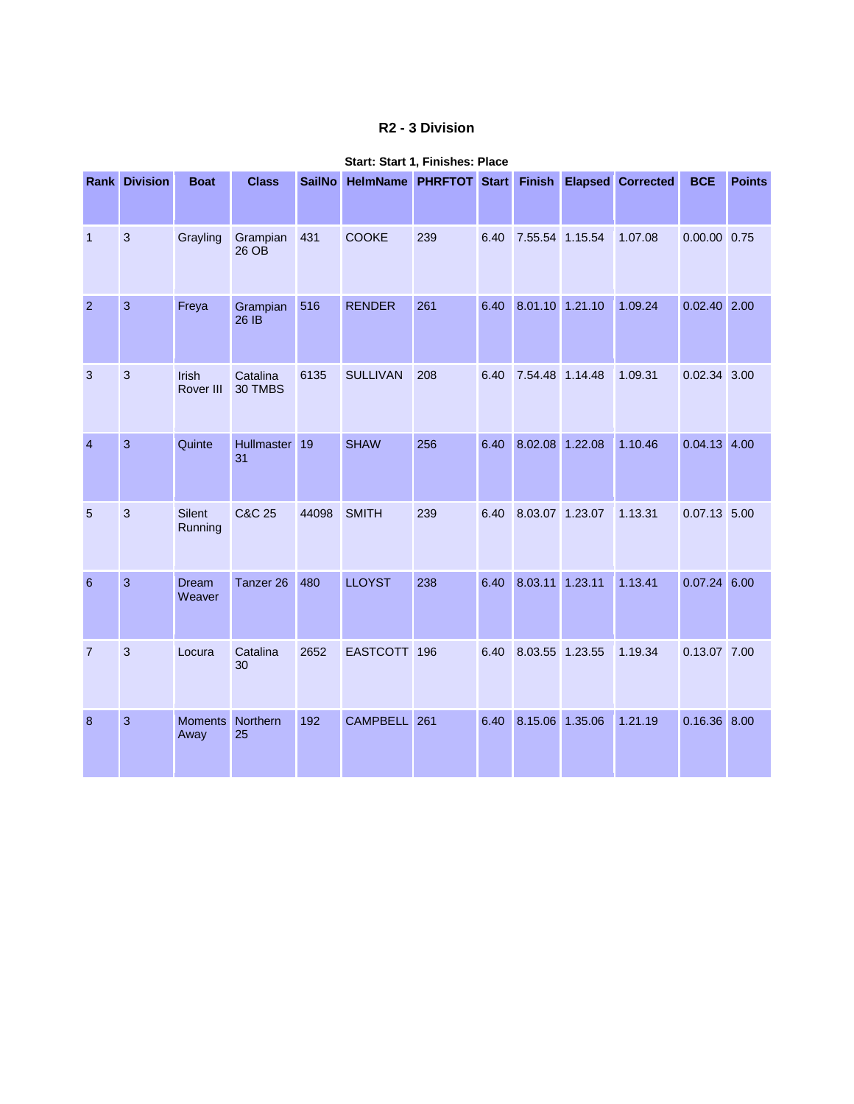### **R2 - 3 Division**

|                | <b>Rank Division</b> | <b>Boat</b>               | <b>Class</b>        | <b>SailNo</b> | HelmName PHRFTOT Start Finish Elapsed Corrected |     |      |                 |         | <b>BCE</b>     | <b>Points</b> |
|----------------|----------------------|---------------------------|---------------------|---------------|-------------------------------------------------|-----|------|-----------------|---------|----------------|---------------|
| $\mathbf{1}$   | $\mathbf{3}$         | Grayling                  | Grampian<br>26 OB   | 431           | <b>COOKE</b>                                    | 239 | 6.40 | 7.55.54 1.15.54 | 1.07.08 | 0.00.00 0.75   |               |
| $\overline{2}$ | $\overline{3}$       | Freya                     | Grampian<br>26 IB   | 516           | <b>RENDER</b>                                   | 261 | 6.40 | 8.01.10 1.21.10 | 1.09.24 | $0.02.40$ 2.00 |               |
| 3              | $\mathbf{3}$         | <b>Irish</b><br>Rover III | Catalina<br>30 TMBS | 6135          | <b>SULLIVAN</b>                                 | 208 | 6.40 | 7.54.48 1.14.48 | 1.09.31 | 0.02.34 3.00   |               |
| $\overline{4}$ | 3                    | Quinte                    | Hullmaster 19<br>31 |               | <b>SHAW</b>                                     | 256 | 6.40 | 8.02.08 1.22.08 | 1.10.46 | $0.04.13$ 4.00 |               |
| 5              | $\overline{3}$       | Silent<br>Running         | <b>C&amp;C 25</b>   | 44098         | <b>SMITH</b>                                    | 239 | 6.40 | 8.03.07 1.23.07 | 1.13.31 | $0.07.13$ 5.00 |               |
| 6              | 3                    | <b>Dream</b><br>Weaver    | Tanzer 26           | 480           | <b>LLOYST</b>                                   | 238 | 6.40 | 8.03.11 1.23.11 | 1.13.41 | $0.07.24$ 6.00 |               |
| $\overline{7}$ | 3                    | Locura                    | Catalina<br>30      | 2652          | EASTCOTT 196                                    |     | 6.40 | 8.03.55 1.23.55 | 1.19.34 | 0.13.07 7.00   |               |
| 8              | 3                    | <b>Moments</b><br>Away    | Northern<br>25      | 192           | CAMPBELL 261                                    |     | 6.40 | 8.15.06 1.35.06 | 1.21.19 | 0.16.36 8.00   |               |

#### **Start: Start 1, Finishes: Place**